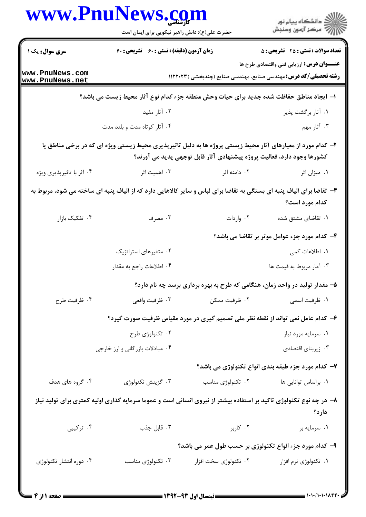|                                    | www.PnuNews.com<br>حضرت علی(ع): دانش راهبر نیکویی برای ایمان است |                       | ڪ دانشڪاه پيا <sub>م</sub> نور<br>∕ <sup>7</sup> مرڪز آزمون وسنڊش                                                                                                                     |
|------------------------------------|------------------------------------------------------------------|-----------------------|---------------------------------------------------------------------------------------------------------------------------------------------------------------------------------------|
| سری سوال: یک ۱                     | زمان آزمون (دقیقه) : تستی : 60 ٪ تشریحی : 60                     |                       | <b>تعداد سوالات : تستی : 25 - تشریحی : 5</b>                                                                                                                                          |
|                                    |                                                                  |                       | <b>عنـــوان درس:</b> ارزیابی فنی واقتصادی طرح ها                                                                                                                                      |
| www.PnuNews.com<br>www.PnuNews.net |                                                                  |                       | <b>رشته تحصیلی/کد درس:</b> مهندسی صنایع، مهندسی صنایع (چندبخشی ) ۱۱۲۲۰۲۳                                                                                                              |
|                                    |                                                                  |                       | ا– ایجاد مناطق حفاظت شده جدید برای حیات وحش منطقه جزء کدام نوع آثار محیط زیست می باشد؟                                                                                                |
|                                    | ۰۲ آثار مفید                                                     |                       | ۰۱ آثار برگشت پذیر                                                                                                                                                                    |
|                                    | ۰۴ آثار کوتاه مدت و بلند مدت                                     |                       | ۰۳ آثار مهم                                                                                                                                                                           |
|                                    |                                                                  |                       | ۲- کدام مورد از معیارهای آثار محیط زیستی پروژه ها به دلیل تاثیرپذیری محیط زیستی ویژه ای که در برخی مناطق یا<br>کشورها وجود دارد، فعالیت پروژه پیشنهادی آثار قابل توجهی پدید می آورند؟ |
| ۰۴ اثر با تاثیرپذیری ویژه          | ۰۳ اهمیت اثر                                                     | ۰۲ دامنه اثر          | ٠١. ميزان اثر                                                                                                                                                                         |
|                                    |                                                                  |                       | ۳- تقاضا برای الیاف پنبه ای بستگی به تقاضا برای لباس و سایر کالاهایی دارد که از الیاف پنبه ای ساخته می شود، مربوط به<br>کدام مورد است؟                                                |
| ۰۴ تفکیک بازار                     | ۰۳ مصرف                                                          | ۰۲ واردات             | ۰۱ تقاضای مشتق شده                                                                                                                                                                    |
|                                    |                                                                  |                       | ۴- کدام مورد جزء عوامل موثر بر تقاضا می باشد؟                                                                                                                                         |
|                                    | ۰۲ متغیرهای استراتژیک                                            |                       | ۰۱ اطلاعات کمی                                                                                                                                                                        |
|                                    | ۰۴ اطلاعات راجع به مقدار                                         |                       | ۰۳ آمار مربوط به قیمت ها                                                                                                                                                              |
|                                    |                                                                  |                       | ۵– مقدار تولید در واحد زمان، هنگامی که طرح به بهره برداری برسد چه نام دارد؟                                                                                                           |
| ۰۴ ظرفيت طرح                       | ۰۳ ظرفيت واقعي                                                   | ۰۲ ظرفیت ممکن         | ۰۱ ظرفیت اسمی                                                                                                                                                                         |
|                                    |                                                                  |                       | ۶– کدام عامل نمی تواند از نقطه نظر ملی تصمیم گیری در مورد مقیاس ظرفیت صورت گیرد؟                                                                                                      |
|                                    | ۰۲ تکنولوژی طرح                                                  |                       | ٠١ سرمايه مورد نياز                                                                                                                                                                   |
|                                    | ۰۴ مبادلات بازرگانی و ارز خارجی                                  |                       | ۰۳ زیربنای اقتصادی                                                                                                                                                                    |
|                                    |                                                                  |                       | ۷- کدام مورد جزء طبقه بندی انواع تکنولوژی می باشد؟                                                                                                                                    |
| ۰۴ گروه های هدف                    | ۰۳ گزينش تكنولوژي                                                | ۰۲ تکنولوژی مناسب     | ٠١. براساس توانايي ها                                                                                                                                                                 |
|                                    |                                                                  |                       | ۸– در چه نوع تکنولوژی تاکید بر استفاده بیشتر از نیروی انسانی است و عموما سرمایه گذاری اولیه کمتری برای تولید نیاز<br>دارد؟                                                            |
| ۰۴ ترکیبی                          | ۰۳ قابل جذب                                                      | ۰۲ کاربر              | ١. سرمايه بر                                                                                                                                                                          |
|                                    |                                                                  |                       | ۹- کدام مورد جزء انواع تکنولوژی بر حسب طول عمر می باشد؟                                                                                                                               |
| ۰۴ دوره انتشار تکنولوژی            | ۰۳ تکنولوژی مناسب                                                | ۰۲ تکنولوژی سخت افزار | ۰۱ تکنولوژی نرم افزار                                                                                                                                                                 |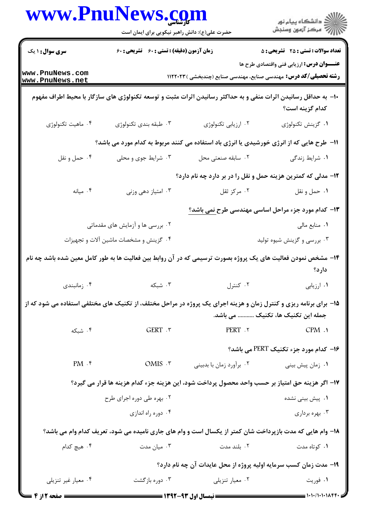|                                        | www.PnuNews.com                                                                                                   |                                                                          | ر<br>دانشڪاه پيام نور)<br>ا∛ مرڪز آزمون وسنڊش             |
|----------------------------------------|-------------------------------------------------------------------------------------------------------------------|--------------------------------------------------------------------------|-----------------------------------------------------------|
|                                        | حضرت علی(ع): دانش راهبر نیکویی برای ایمان است                                                                     |                                                                          |                                                           |
| <b>سری سوال : ۱ یک</b>                 | زمان آزمون (دقیقه) : تستی : 60 گشریحی : 60                                                                        |                                                                          | <b>تعداد سوالات : تستي : 25 - تشريحي : 5</b>              |
| www.PnuNews.com<br>www.PnuNews.net     |                                                                                                                   | <b>رشته تحصیلی/کد درس:</b> مهندسی صنایع، مهندسی صنایع (چندبخشی ) ۱۱۲۲۰۲۳ | <b>عنـــوان درس:</b> ارزیابی فنی واقتصادی طرح ها          |
|                                        | +ا– به حداقل رسانیدن اثرات منفی و به حداکثر رسانیدن اثرات مثبت و توسعه تکنولوژی های سازگار با محیط اطراف مفهوم    |                                                                          | كدام گزينه است؟                                           |
| ۰۴ ماهيت تكنولوژي                      | ۰۳ طبقه بندی تکنولوژی                                                                                             | ۰۲ ارزیابی تکنولوژی                                                      | ٠١ گزينش تكنولوژى                                         |
|                                        | 11– طرح هایی که از انرژی خورشیدی یا انرژی باد استفاده می کنند مربوط به کدام مورد می باشد؟                         |                                                                          |                                                           |
| ۰۴ حمل و نقل                           | ۰۳ شرایط جوی و محلی                                                                                               | ۰۲ سابقه صنعتی محل                                                       | ۰۱ شرایط زندگی                                            |
|                                        |                                                                                                                   | ۱۲- مدلی که کمترین هزینه حمل و نقل را در بر دارد چه نام دارد؟            |                                                           |
| ۰۴ میانه                               | ۰۳ امتیاز دهی وزنی                                                                                                | ۰۲ مرکز ثقل                                                              | ٠١ حمل ونقل                                               |
|                                        |                                                                                                                   |                                                                          | ۱۳- کدام مورد جزء مراحل اساسی مهندسی طرح <u>نمی</u> باشد؟ |
|                                        | ۰۲ بررسی ها و آزمایش های مقدماتی                                                                                  |                                                                          | ٠١ منابع مالي                                             |
| ۰۴ گزینش و مشخصات ماشین آلات و تجهیزات |                                                                                                                   |                                                                          | ۰۳ بررسی و گزینش شیوه تولید                               |
|                                        | ۱۴– مشخص نمودن فعالیت های یک پروژه بصورت ترسیمی که در آن روابط بین فعالیت ها به طور کامل معین شده باشد چه نام     |                                                                          | دارد؟                                                     |
| ۰۴ زمانبندی                            | ۰۳ شبکه                                                                                                           | ۰۲ کنترل                                                                 | ٠١ ارزيابي                                                |
|                                        | 1۵- برای برنامه ریزی و کنترل زمان و هزینه اجرای یک پروژه در مراحل مختلف، از تکنیک های مختلفی استفاده می شود که از |                                                                          | جمله این تکنیک ها، تکنیک  می باشد.                        |
| ۰۴ شبکه                                | GERT . ٣                                                                                                          | PERT .٢                                                                  | CPM.                                                      |
|                                        |                                                                                                                   |                                                                          | ۱۶- کدام مورد جزء تکنیک PERT می باشد؟                     |
| $PM \cdot$ ۴                           | OMIS .r                                                                                                           | ۰۲ برأورد زمان با بدبيني                                                 | ۰۱ زمان پیش بینی                                          |
|                                        | ١٧- اگر هزينه حق امتياز بر حسب واحد محصول پرداخت شود، اين هزينه جزء كدام هزينه ها قرار مي گيرد؟                   |                                                                          |                                                           |
|                                        | ۰۲ بهره طی دوره اجرای طرح                                                                                         |                                                                          | ۰۱ پیش بینی نشده                                          |
|                                        | ۰۴ دوره راه اندازی                                                                                                |                                                                          | ۰۳ بهره برداری                                            |
|                                        | 18- وام هایی که مدت بازپرداخت شان کمتر از یکسال است و وام های جاری نامیده می شود، تعریف کدام وام می باشد؟         |                                                                          |                                                           |
| ۰۴ هیچ کدام                            | ۰۳ میان مدت                                                                                                       | ۰۲ بلند مدت                                                              | ۰۱ کوتاه مدت                                              |
|                                        |                                                                                                                   | ۱۹- مدت زمان کسب سرمایه اولیه پروژه از محل عایدات آن چه نام دارد؟        |                                                           |
| ۰۴ معيار غير تنزيلي                    | ۰۳ دوره بازگشت                                                                                                    | ۰۲ معیار تنزیلی                                                          | ۰۱ فوريت                                                  |
| = صفحه 2 از 4                          |                                                                                                                   |                                                                          |                                                           |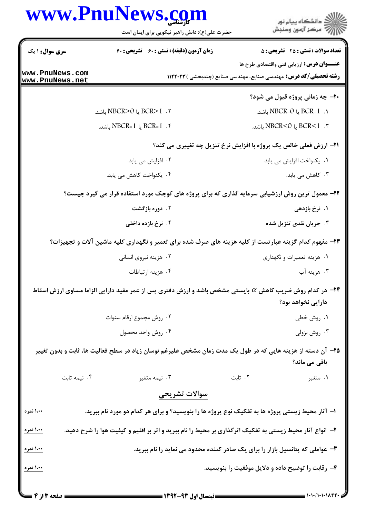|                                    | www.PnuNews.com<br>حضرت علی(ع): دانش راهبر نیکویی برای ایمان است                                        | ≦ دانشڪاه پيام نور<br>ج‴ مرڪز آزمون وسنڊش                                                                                             |  |  |
|------------------------------------|---------------------------------------------------------------------------------------------------------|---------------------------------------------------------------------------------------------------------------------------------------|--|--|
| <b>سری سوال : ۱ یک</b>             | زمان آزمون (دقیقه) : تستی : 60 تشریحی : 60                                                              | <b>تعداد سوالات : تستی : 25 ۔ تشریحی : 5</b>                                                                                          |  |  |
| www.PnuNews.com<br>www.PnuNews.net |                                                                                                         | <b>عنـــوان درس:</b> ارزیابی فنی واقتصادی طرح ها<br><b>رشته تحصیلی/کد درس:</b> مهندسی صنایع، مهندسی صنایع (چندبخشی ) ۱۱۲۲۰۲۳          |  |  |
|                                    |                                                                                                         | <b>۲۰</b> - چه زمانی پروژه قبول می شود؟                                                                                               |  |  |
|                                    | ۲. BCR>1 یا NBCR>0 باشد.                                                                                | 1. BCR=1 يا NBCR=0 باشد.                                                                                                              |  |  |
|                                    | NBCR=1 یا NBCR=1 باشد.                                                                                  | ۳. BCR<1 یا NBCR<0 باشد.                                                                                                              |  |  |
|                                    |                                                                                                         | <b>۲۱- ارزش فعلی خالص یک پروژه با افزایش نرخ تنزیل چه تغییری می کند؟</b>                                                              |  |  |
|                                    | ۲. افزایش می یابد.                                                                                      | ٠١. يكنواخت افزايش مي يابد.                                                                                                           |  |  |
|                                    | ۰۴ يکنواخت کاهش مي يابد.                                                                                | ۰۳ کاهش می یابد.                                                                                                                      |  |  |
|                                    |                                                                                                         | ۲۲- معمول ترین روش ارزشیابی سرمایه گذاری که برای پروژه های کوچک مورد استفاده قرار می گیرد چیست؟                                       |  |  |
|                                    | ۰۲ دوره بازگشت                                                                                          | ۱. نرخ بازدهی                                                                                                                         |  |  |
|                                    | ۰۴ نرخ بازده داخلی                                                                                      | ۰۳ جریان نقدی تنزیل شده                                                                                                               |  |  |
|                                    |                                                                                                         | ۲۳- مفهوم کدام گزینه عبارتست از کلیه هزینه های صرف شده برای تعمیر و نگهداری کلیه ماشین آلات و تجهیزات؟                                |  |  |
|                                    | ۰۲ هزینه نیروی انسانی                                                                                   | ۰۱ هزینه تعمیرات و نگهداری                                                                                                            |  |  |
|                                    | ۰۴ هزينه ارتباطات                                                                                       | ۰۳ هزينه آب                                                                                                                           |  |  |
|                                    |                                                                                                         | <b>۳۴</b> − در کدام روش ضریب کاهش α بایستی مشخص باشد و ارزش دفتری پس از عمر مفید دارایی الزاما مساوی ارزش اسقاط<br>دارایی نخواهد بود؟ |  |  |
|                                    | ٠٢ روش مجموع ارقام سنوات                                                                                | ۰۱ روش خطی                                                                                                                            |  |  |
|                                    | ۰۴ روش واحد محصول                                                                                       | ۰۳ روش نزولی                                                                                                                          |  |  |
|                                    |                                                                                                         | ۲۵– آن دسته از هزینه هایی که در طول یک مدت زمان مشخص علیرغم نوسان زیاد در سطح فعالیت ها، ثابت و بدون تغییر<br>باقی می ماند؟           |  |  |
| ۰۴ نیمه ثابت                       | ۰۳ نیمه متغیر                                                                                           | ۰۲ ثابت<br>۰۱ متغبر                                                                                                                   |  |  |
|                                    | سوالات تشريحى                                                                                           |                                                                                                                                       |  |  |
| <u>۱،۰۰ نمره</u>                   | ا- آثار محیط زیستی پروژه ها به تفکیک نوع پروژه ها را بنویسید؟ و برای هر کدام دو مورد نام ببرید.         |                                                                                                                                       |  |  |
| ۱،۰۰ نمره                          | ۲– انواع آثار محیط زیستی به تفکیک اثرگذاری بر محیط را نام ببرید و اثر بر اقلیم و کیفیت هوا را شرح دهید. |                                                                                                                                       |  |  |
| ۱،۰ <u>۰ نمره</u>                  |                                                                                                         | ۳- عواملی که پتانسیل بازار را برای یک صادر کننده محدود می نماید را نام ببرید.                                                         |  |  |
| <u> ۱،۰۰ نمره</u>                  |                                                                                                         | ۴- رقابت را توضیح داده و دلایل موفقیت را بنویسید.                                                                                     |  |  |